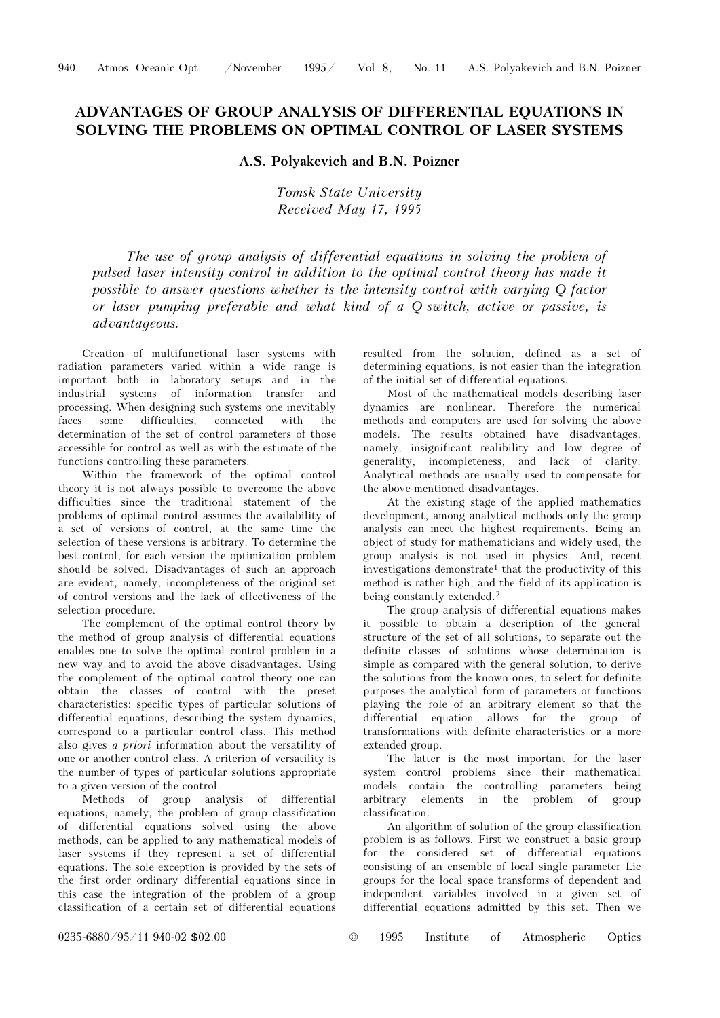## ADVANTAGES OF GROUP ANALYSIS OF DIFFERENTIAL EQUATIONS IN SOLVING THE PROBLEMS ON OPTIMAL CONTROL OF LASER SYSTEMS

## A.S. Polyakevich and B.N. Poizner

Tomsk State University Received May 17, 1995

The use of group analysis of differential equations in solving the problem of pulsed laser intensity control in addition to the optimal control theory has made it possible to answer questions whether is the intensity control with varying Q-factor or laser pumping preferable and what kind of a Q-switch, active or passive, is advantageous.

Creation of multifunctional laser systems with radiation parameters varied within a wide range is important both in laboratory setups and in the industrial systems of information transfer and processing. When designing such systems one inevitably<br>faces some difficulties, connected with the faces some difficulties, connected with the determination of the set of control parameters of those accessible for control as well as with the estimate of the functions controlling these parameters.

Within the framework of the optimal control theory it is not always possible to overcome the above difficulties since the traditional statement of the problems of optimal control assumes the availability of a set of versions of control, at the same time the selection of these versions is arbitrary. To determine the best control, for each version the optimization problem should be solved. Disadvantages of such an approach are evident, namely, incompleteness of the original set of control versions and the lack of effectiveness of the selection procedure.

The complement of the optimal control theory by the method of group analysis of differential equations enables one to solve the optimal control problem in a new way and to avoid the above disadvantages. Using the complement of the optimal control theory one can obtain the classes of control with the preset characteristics: specific types of particular solutions of differential equations, describing the system dynamics, correspond to a particular control class. This method also gives a priori information about the versatility of one or another control class. A criterion of versatility is the number of types of particular solutions appropriate to a given version of the control.

Methods of group analysis of differential equations, namely, the problem of group classification of differential equations solved using the above methods, can be applied to any mathematical models of laser systems if they represent a set of differential equations. The sole exception is provided by the sets of the first order ordinary differential equations since in this case the integration of the problem of a group classification of a certain set of differential equations resulted from the solution, defined as a set of determining equations, is not easier than the integration of the initial set of differential equations.

Most of the mathematical models describing laser dynamics are nonlinear. Therefore the numerical methods and computers are used for solving the above models. The results obtained have disadvantages, namely, insignificant realibility and low degree of generality, incompleteness, and lack of clarity. Analytical methods are usually used to compensate for the above-mentioned disadvantages.

At the existing stage of the applied mathematics development, among analytical methods only the group analysis can meet the highest requirements. Being an object of study for mathematicians and widely used, the group analysis is not used in physics. And, recent investigations demonstrate<sup>1</sup> that the productivity of this method is rather high, and the field of its application is being constantly extended.<sup>2</sup>

The group analysis of differential equations makes it possible to obtain a description of the general structure of the set of all solutions, to separate out the definite classes of solutions whose determination is simple as compared with the general solution, to derive the solutions from the known ones, to select for definite purposes the analytical form of parameters or functions playing the role of an arbitrary element so that the differential equation allows for the group of transformations with definite characteristics or a more extended group.

The latter is the most important for the laser system control problems since their mathematical models contain the controlling parameters being arbitrary elements in the problem of group classification.

An algorithm of solution of the group classification problem is as follows. First we construct a basic group for the considered set of differential equations consisting of an ensemble of local single parameter Lie groups for the local space transforms of dependent and independent variables involved in a given set of differential equations admitted by this set. Then we

0235-6880/95/11 940-02 \$02.00 © 1995 Institute of Atmospheric Optics